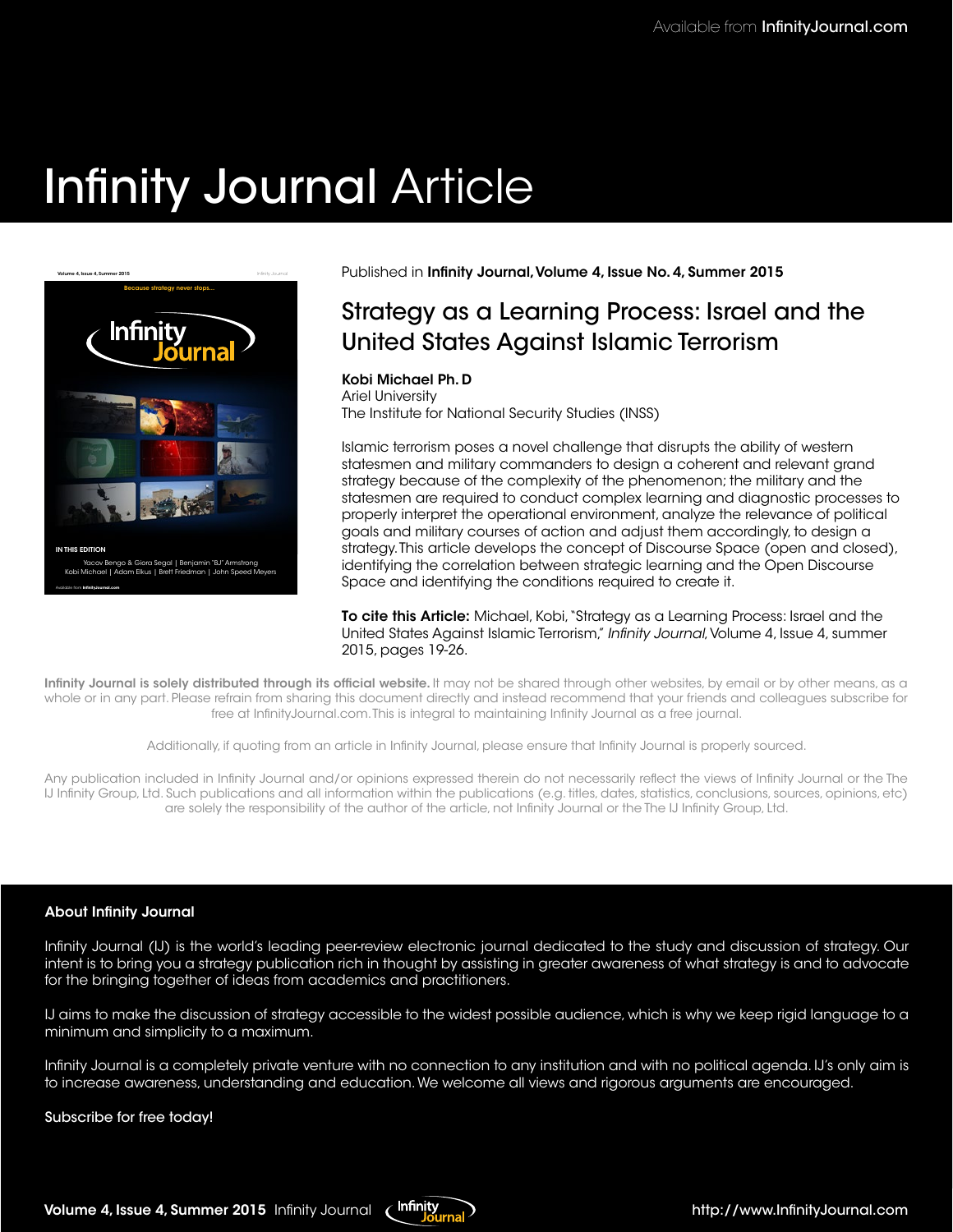# Infinity Journal Article



Yacov Bengo & Giora Segal | Benjamin "BJ" Armstrong [Kobi Michael | Adam Elkus | Brett Friedman | John Speed Meyers](https://www.infinityjournal.com)

Available from **InfnityJournal.com**

Published in Infinity Journal, Volume 4, Issue No. 4, Summer 2015

### Strategy as a Learning Process: Israel and the United States Against Islamic Terrorism

### Kobi Michael Ph. D

Ariel University The Institute for National Security Studies (INSS)

Islamic terrorism poses a novel challenge that disrupts the ability of western statesmen and military commanders to design a coherent and relevant grand strategy because of the complexity of the phenomenon; the military and the statesmen are required to conduct complex learning and diagnostic processes to properly interpret the operational environment, analyze the relevance of political goals and military courses of action and adjust them accordingly, to design a strategy. This article develops the concept of Discourse Space (open and closed), identifying the correlation between strategic learning and the Open Discourse Space and identifying the conditions required to create it.

To cite this Article: Michael, Kobi, "Strategy as a Learning Process: Israel and the United States Against Islamic Terrorism," Infnity Journal, Volume 4, Issue 4, summer 2015, pages 19-26.

Infinity Journal is solely distributed through its official website. It may not be shared through other websites, by email or by other means, as a whole or in any part. Please refrain from sharing this document directly and instead recommend that your friends and colleagues subscribe for free at InfnityJournal.com. This is integral to maintaining Infnity Journal as a free journal.

Additionally, if quoting from an article in Infnity Journal, please ensure that Infnity Journal is properly sourced.

Any publication included in Infnity Journal and/or opinions expressed therein do not necessarily refect the views of Infnity Journal or the The IJ Infnity Group, Ltd. Such publications and all information within the publications (e.g. titles, dates, statistics, conclusions, sources, opinions, etc) are solely the responsibility of the author of the article, not Infnity Journal or the The IJ Infnity Group, Ltd.

### About Infnity Journal

Infnity Journal (IJ) is the world's leading peer-review electronic journal dedicated to the study and discussion of strategy. Our intent is to bring you a strategy publication rich in thought by assisting in greater awareness of what strategy is and to advocate for the bringing together of ideas from academics and practitioners.

IJ aims to make the discussion of strategy accessible to the widest possible audience, which is why we keep rigid language to a minimum and simplicity to a maximum.

Infnity Journal is a completely private venture with no connection to any institution and with no political agenda. IJ's only aim is to increase awareness, understanding and education. We welcome all views and rigorous arguments are encouraged.

#### Subscribe for free today!

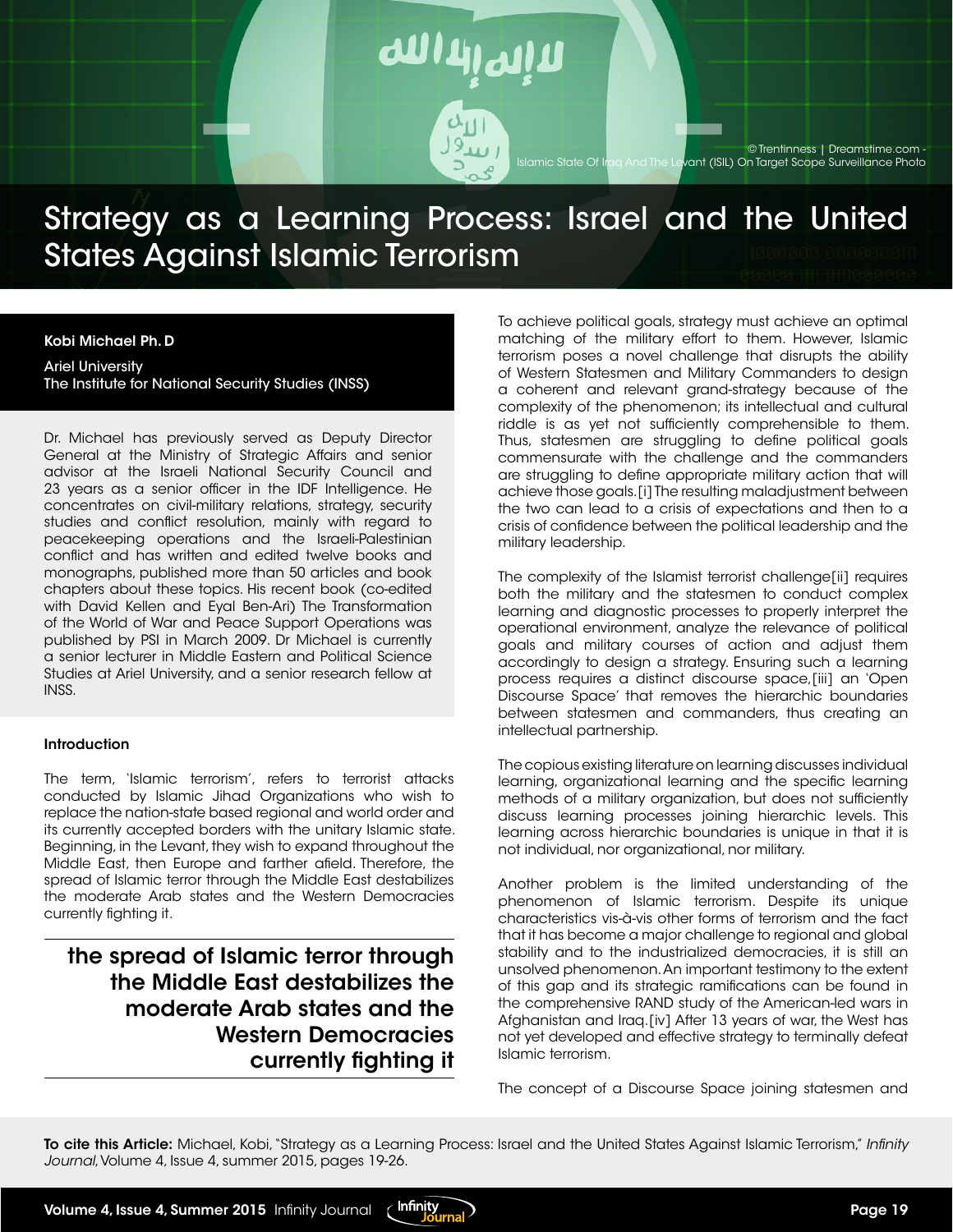

## Strategy as a Learning Process: Israel and the United States Against Islamic Terrorism

#### Kobi Michael Ph. D

Ariel University The Institute for National Security Studies (INSS)

Dr. Michael has previously served as Deputy Director General at the Ministry of Strategic Affairs and senior advisor at the Israeli National Security Council and 23 years as a senior officer in the IDF Intelligence. He concentrates on civil-military relations, strategy, security studies and conflict resolution, mainly with regard to peacekeeping operations and the Israeli-Palestinian conflict and has written and edited twelve books and monographs, published more than 50 articles and book chapters about these topics. His recent book (co-edited with David Kellen and Eyal Ben-Ari) The Transformation of the World of War and Peace Support Operations was published by PSI in March 2009. Dr Michael is currently a senior lecturer in Middle Eastern and Political Science Studies at Ariel University, and a senior research fellow at INSS.

#### **Introduction**

The term, 'Islamic terrorism', refers to terrorist attacks conducted by Islamic Jihad Organizations who wish to replace the nation-state based regional and world order and its currently accepted borders with the unitary Islamic state. Beginning, in the Levant, they wish to expand throughout the Middle East, then Europe and farther afield. Therefore, the spread of Islamic terror through the Middle East destabilizes the moderate Arab states and the Western Democracies currently fighting it.

the spread of Islamic terror through the Middle East destabilizes the moderate Arab states and the Western Democracies currently fighting it To achieve political goals, strategy must achieve an optimal matching of the military effort to them. However, Islamic terrorism poses a novel challenge that disrupts the ability of Western Statesmen and Military Commanders to design a coherent and relevant grand-strategy because of the complexity of the phenomenon; its intellectual and cultural riddle is as yet not sufficiently comprehensible to them. Thus, statesmen are struggling to define political goals commensurate with the challenge and the commanders are struggling to define appropriate military action that will achieve those goals.[i] The resulting maladjustment between the two can lead to a crisis of expectations and then to a crisis of confidence between the political leadership and the military leadership.

The complexity of the Islamist terrorist challenge[ii] requires both the military and the statesmen to conduct complex learning and diagnostic processes to properly interpret the operational environment, analyze the relevance of political goals and military courses of action and adjust them accordingly to design a strategy. Ensuring such a learning process requires a distinct discourse space,[iii] an 'Open Discourse Space' that removes the hierarchic boundaries between statesmen and commanders, thus creating an intellectual partnership.

The copious existing literature on learning discusses individual learning, organizational learning and the specific learning methods of a military organization, but does not sufficiently discuss learning processes joining hierarchic levels. This learning across hierarchic boundaries is unique in that it is not individual, nor organizational, nor military.

Another problem is the limited understanding of the phenomenon of Islamic terrorism. Despite its unique characteristics vis-à-vis other forms of terrorism and the fact that it has become a major challenge to regional and global stability and to the industrialized democracies, it is still an unsolved phenomenon. An important testimony to the extent of this gap and its strategic ramifications can be found in the comprehensive RAND study of the American-led wars in Afghanistan and Iraq.[iv] After 13 years of war, the West has not yet developed and effective strategy to terminally defeat Islamic terrorism.

The concept of a Discourse Space joining statesmen and

To cite this Article: Michael, Kobi, "Strategy as a Learning Process: Israel and the United States Against Islamic Terrorism," *Infinity Journal*, Volume 4, Issue 4, summer 2015, pages 19-26.

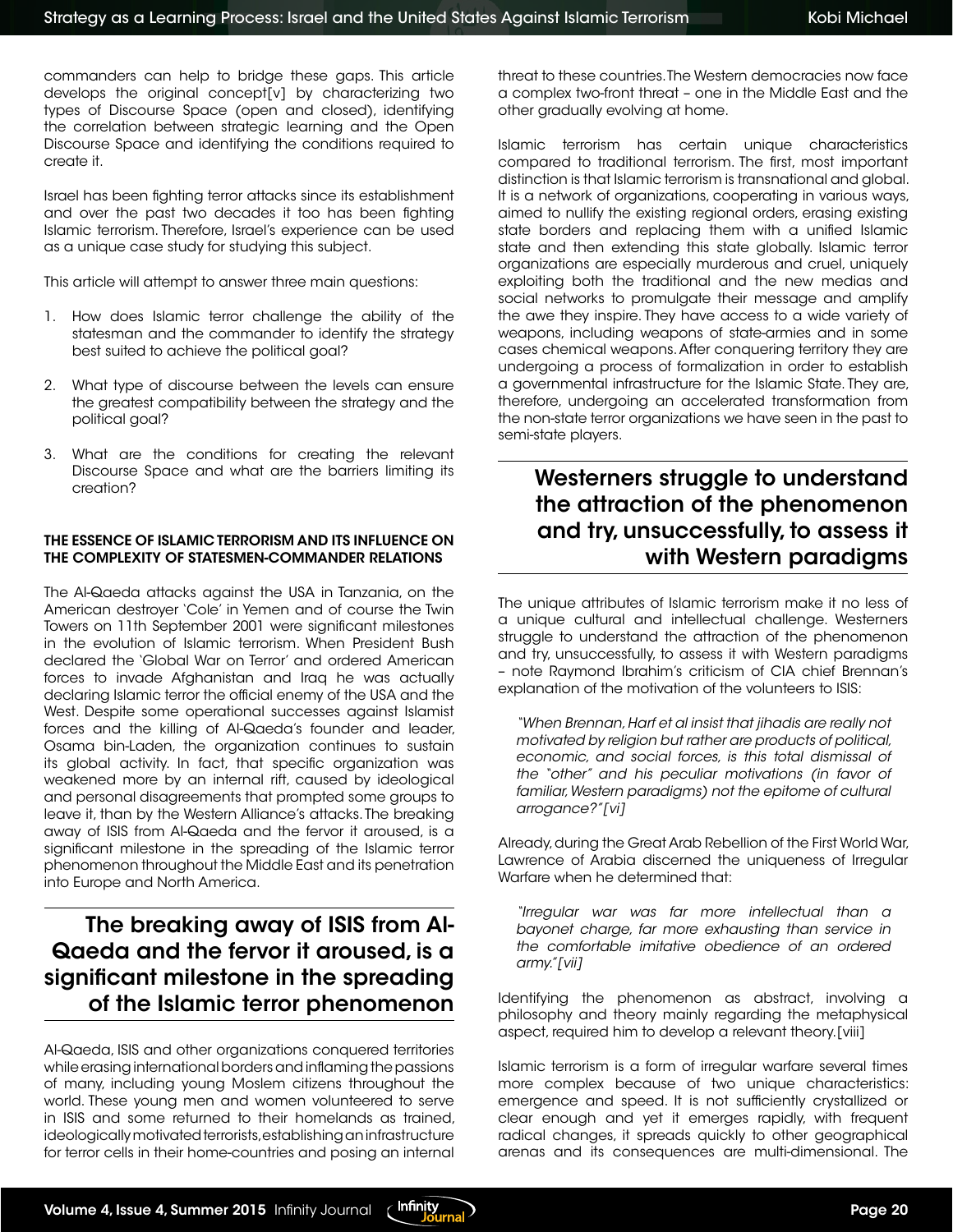commanders can help to bridge these gaps. This article develops the original concept[v] by characterizing two types of Discourse Space (open and closed), identifying the correlation between strategic learning and the Open Discourse Space and identifying the conditions required to create it.

Israel has been fighting terror attacks since its establishment and over the past two decades it too has been fighting Islamic terrorism. Therefore, Israel's experience can be used as a unique case study for studying this subject.

This article will attempt to answer three main questions:

- 1. How does Islamic terror challenge the ability of the statesman and the commander to identify the strategy best suited to achieve the political goal?
- 2. What type of discourse between the levels can ensure the greatest compatibility between the strategy and the political goal?
- 3. What are the conditions for creating the relevant Discourse Space and what are the barriers limiting its creation?

### THE ESSENCE OF ISLAMIC TERRORISM AND ITS INFLUENCE ON THE COMPLEXITY OF STATESMEN-COMMANDER RELATIONS

The Al-Qaeda attacks against the USA in Tanzania, on the American destroyer 'Cole' in Yemen and of course the Twin Towers on 11th September 2001 were significant milestones in the evolution of Islamic terrorism. When President Bush declared the 'Global War on Terror' and ordered American forces to invade Afghanistan and Iraq he was actually declaring Islamic terror the official enemy of the USA and the West. Despite some operational successes against Islamist forces and the killing of Al-Qaeda's founder and leader, Osama bin-Laden, the organization continues to sustain its global activity. In fact, that specific organization was weakened more by an internal rift, caused by ideological and personal disagreements that prompted some groups to leave it, than by the Western Alliance's attacks. The breaking away of ISIS from Al-Qaeda and the fervor it aroused, is a significant milestone in the spreading of the Islamic terror phenomenon throughout the Middle East and its penetration into Europe and North America.

### The breaking away of ISIS from Al-Qaeda and the fervor it aroused, is a significant milestone in the spreading of the Islamic terror phenomenon

Al-Qaeda, ISIS and other organizations conquered territories while erasing international borders and inflaming the passions of many, including young Moslem citizens throughout the world. These young men and women volunteered to serve in ISIS and some returned to their homelands as trained, ideologically motivated terrorists, establishing an infrastructure for terror cells in their home-countries and posing an internal

threat to these countries. The Western democracies now face a complex two-front threat – one in the Middle East and the other gradually evolving at home.

Islamic terrorism has certain unique characteristics compared to traditional terrorism. The first, most important distinction is that Islamic terrorism is transnational and global. It is a network of organizations, cooperating in various ways, aimed to nullify the existing regional orders, erasing existing state borders and replacing them with a unified Islamic state and then extending this state globally. Islamic terror organizations are especially murderous and cruel, uniquely exploiting both the traditional and the new medias and social networks to promulgate their message and amplify the awe they inspire. They have access to a wide variety of weapons, including weapons of state-armies and in some cases chemical weapons. After conquering territory they are undergoing a process of formalization in order to establish a governmental infrastructure for the Islamic State. They are, therefore, undergoing an accelerated transformation from the non-state terror organizations we have seen in the past to semi-state players.

### Westerners struggle to understand the attraction of the phenomenon and try, unsuccessfully, to assess it with Western paradigms

The unique attributes of Islamic terrorism make it no less of a unique cultural and intellectual challenge. Westerners struggle to understand the attraction of the phenomenon and try, unsuccessfully, to assess it with Western paradigms – note Raymond Ibrahim's criticism of CIA chief Brennan's explanation of the motivation of the volunteers to ISIS:

*"When Brennan, Harf et al insist that jihadis are really not motivated by religion but rather are products of political, economic, and social forces, is this total dismissal of the "other" and his peculiar motivations (in favor of*  familiar, Western paradigms) not the epitome of cultural *arrogance?"[vi]*

Already, during the Great Arab Rebellion of the First World War, Lawrence of Arabia discerned the uniqueness of Irregular Warfare when he determined that:

*"Irregular war was far more intellectual than a bayonet charge, far more exhausting than service in the comfortable imitative obedience of an ordered army."[vii]*

Identifying the phenomenon as abstract, involving a philosophy and theory mainly regarding the metaphysical aspect, required him to develop a relevant theory.[viii]

Islamic terrorism is a form of irregular warfare several times more complex because of two unique characteristics: emergence and speed. It is not sufficiently crystallized or clear enough and yet it emerges rapidly, with frequent radical changes, it spreads quickly to other geographical arenas and its consequences are multi-dimensional. The

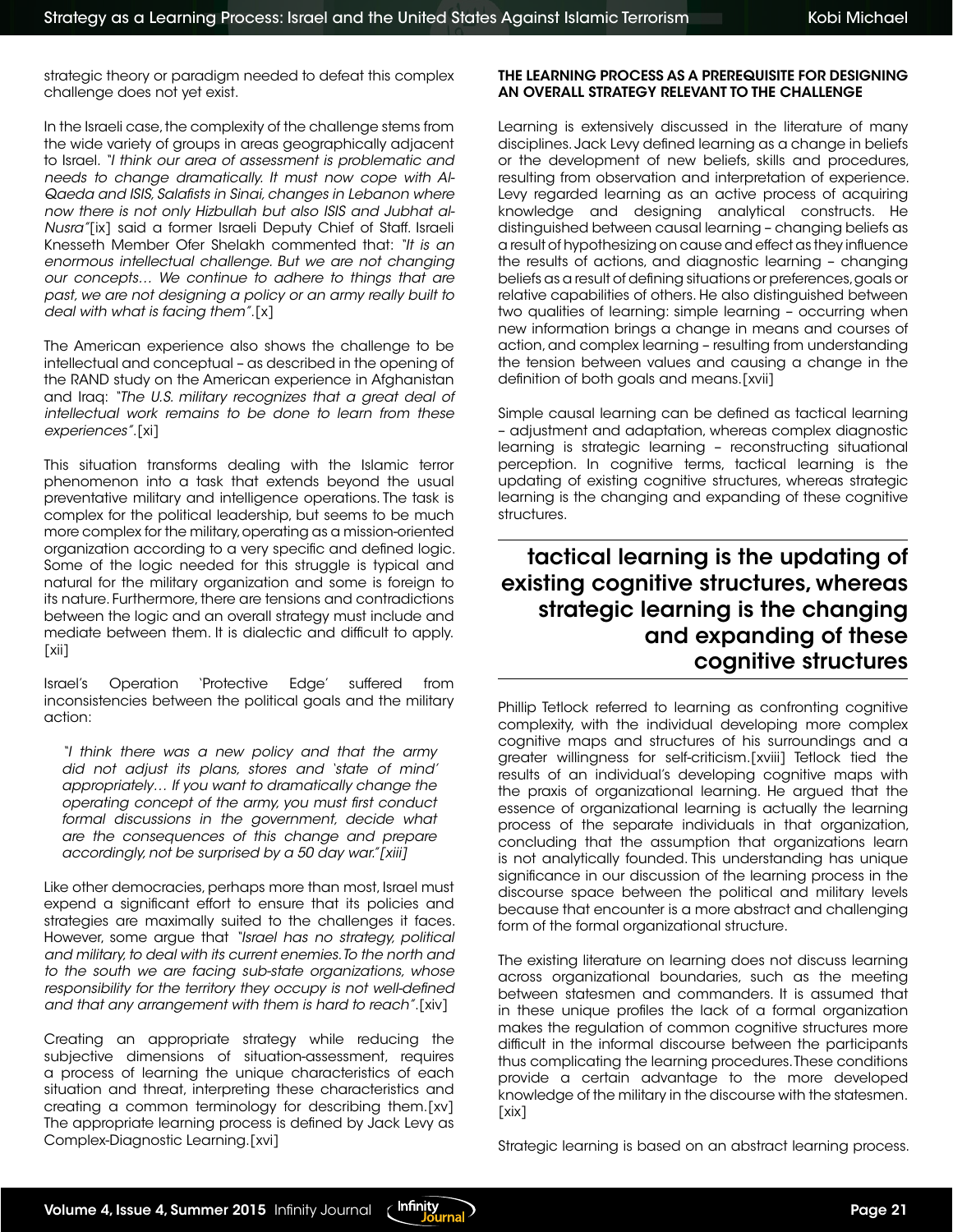strategic theory or paradigm needed to defeat this complex challenge does not yet exist.

In the Israeli case, the complexity of the challenge stems from the wide variety of groups in areas geographically adjacent to Israel. *"I think our area of assessment is problematic and needs to change dramatically. It must now cope with Al-Qaeda and ISIS, Salafists in Sinai, changes in Lebanon where now there is not only Hizbullah but also ISIS and Jubhat al-Nusra"*[ix] said a former Israeli Deputy Chief of Staff. Israeli Knesseth Member Ofer Shelakh commented that: *"It is an enormous intellectual challenge. But we are not changing our concepts… We continue to adhere to things that are past, we are not designing a policy or an army really built to deal with what is facing them"*.[x]

The American experience also shows the challenge to be intellectual and conceptual – as described in the opening of the RAND study on the American experience in Afghanistan and Iraq: *"The U.S. military recognizes that a great deal of intellectual work remains to be done to learn from these experiences"*.[xi]

This situation transforms dealing with the Islamic terror phenomenon into a task that extends beyond the usual preventative military and intelligence operations. The task is complex for the political leadership, but seems to be much more complex for the military, operating as a mission-oriented organization according to a very specific and defined logic. Some of the logic needed for this struggle is typical and natural for the military organization and some is foreign to its nature. Furthermore, there are tensions and contradictions between the logic and an overall strategy must include and mediate between them. It is dialectic and difficult to apply.  $[xii]$ 

Israel's Operation 'Protective Edge' suffered from inconsistencies between the political goals and the military action:

*"I think there was a new policy and that the army did not adjust its plans, stores and 'state of mind' appropriately… If you want to dramatically change the operating concept of the army, you must first conduct formal discussions in the government, decide what are the consequences of this change and prepare accordingly, not be surprised by a 50 day war."[xiii]*

Like other democracies, perhaps more than most, Israel must expend a significant effort to ensure that its policies and strategies are maximally suited to the challenges it faces. However, some argue that *"Israel has no strategy, political and military, to deal with its current enemies. To the north and to the south we are facing sub-state organizations, whose responsibility for the territory they occupy is not well-defined and that any arrangement with them is hard to reach"*.[xiv]

Creating an appropriate strategy while reducing the subjective dimensions of situation-assessment, requires a process of learning the unique characteristics of each situation and threat, interpreting these characteristics and creating a common terminology for describing them.[xv] The appropriate learning process is defined by Jack Levy as Complex-Diagnostic Learning.[xvi]

### THE LEARNING PROCESS AS A PREREQUISITE FOR DESIGNING AN OVERALL STRATEGY RELEVANT TO THE CHALLENGE

Learning is extensively discussed in the literature of many disciplines. Jack Levy defined learning as a change in beliefs or the development of new beliefs, skills and procedures, resulting from observation and interpretation of experience. Levy regarded learning as an active process of acquiring knowledge and designing analytical constructs. He distinguished between causal learning – changing beliefs as a result of hypothesizing on cause and effect as they influence the results of actions, and diagnostic learning – changing beliefs as a result of defining situations or preferences, goals or relative capabilities of others. He also distinguished between two qualities of learning: simple learning – occurring when new information brings a change in means and courses of action, and complex learning – resulting from understanding the tension between values and causing a change in the definition of both goals and means.[xvii]

Simple causal learning can be defined as tactical learning – adjustment and adaptation, whereas complex diagnostic learning is strategic learning – reconstructing situational perception. In cognitive terms, tactical learning is the updating of existing cognitive structures, whereas strategic learning is the changing and expanding of these cognitive structures.

### tactical learning is the updating of existing cognitive structures, whereas strategic learning is the changing and expanding of these cognitive structures

Phillip Tetlock referred to learning as confronting cognitive complexity, with the individual developing more complex cognitive maps and structures of his surroundings and a greater willingness for self-criticism.[xviii] Tetlock tied the results of an individual's developing cognitive maps with the praxis of organizational learning. He argued that the essence of organizational learning is actually the learning process of the separate individuals in that organization, concluding that the assumption that organizations learn is not analytically founded. This understanding has unique significance in our discussion of the learning process in the discourse space between the political and military levels because that encounter is a more abstract and challenging form of the formal organizational structure.

The existing literature on learning does not discuss learning across organizational boundaries, such as the meeting between statesmen and commanders. It is assumed that in these unique profiles the lack of a formal organization makes the regulation of common cognitive structures more difficult in the informal discourse between the participants thus complicating the learning procedures. These conditions provide a certain advantage to the more developed knowledge of the military in the discourse with the statesmen. [xix]

Strategic learning is based on an abstract learning process.

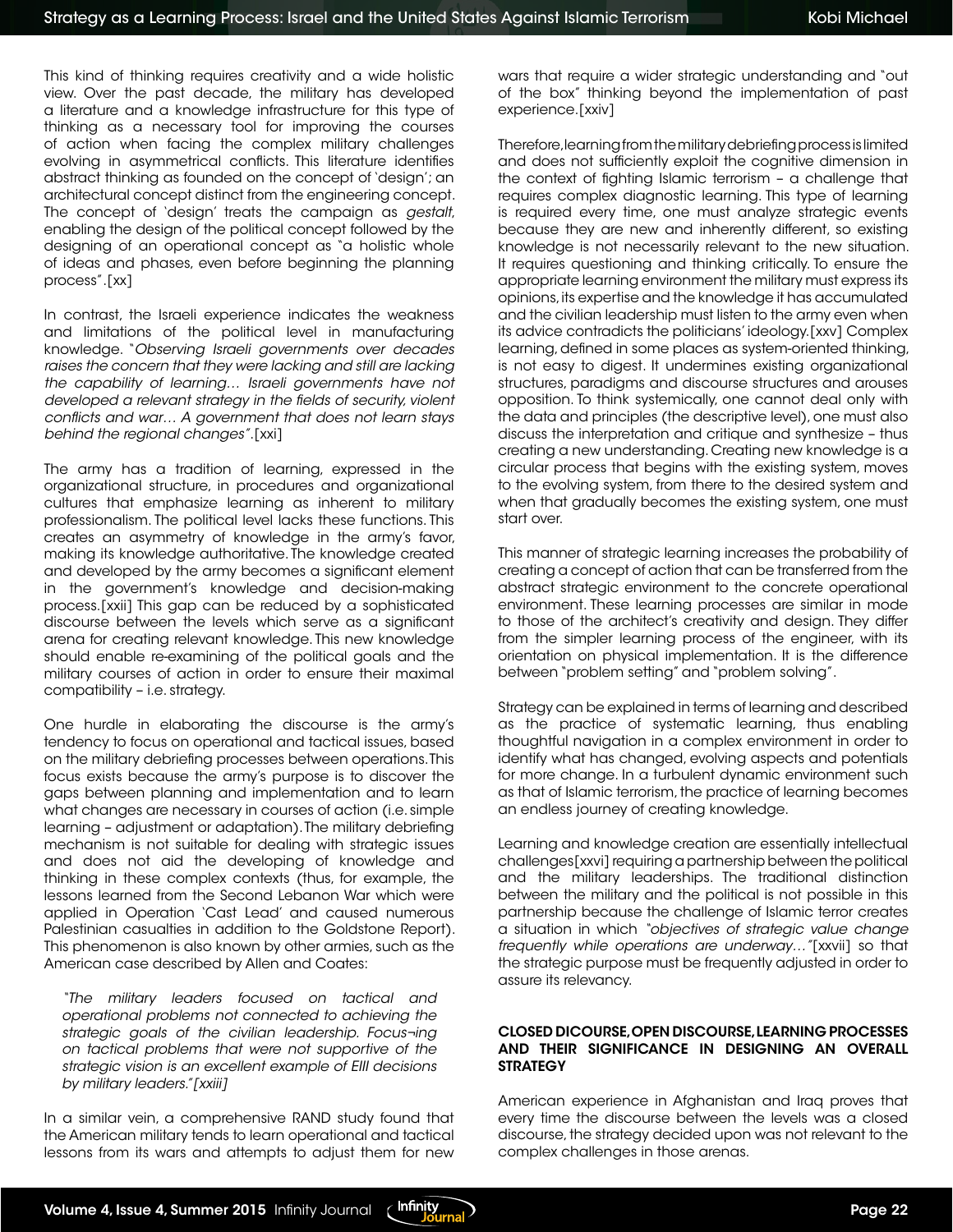This kind of thinking requires creativity and a wide holistic view. Over the past decade, the military has developed a literature and a knowledge infrastructure for this type of thinking as a necessary tool for improving the courses of action when facing the complex military challenges evolving in asymmetrical conflicts. This literature identifies abstract thinking as founded on the concept of 'design'; an architectural concept distinct from the engineering concept. The concept of 'design' treats the campaign as *gestalt*, enabling the design of the political concept followed by the designing of an operational concept as "a holistic whole of ideas and phases, even before beginning the planning process".[xx]

In contrast, the Israeli experience indicates the weakness and limitations of the political level in manufacturing knowledge. "*Observing Israeli governments over decades*  raises the concern that they were lacking and still are lacking *the capability of learning… Israeli governments have not developed a relevant strategy in the fields of security, violent conflicts and war… A government that does not learn stays behind the regional changes"*.[xxi]

The army has a tradition of learning, expressed in the organizational structure, in procedures and organizational cultures that emphasize learning as inherent to military professionalism. The political level lacks these functions. This creates an asymmetry of knowledge in the army's favor, making its knowledge authoritative. The knowledge created and developed by the army becomes a significant element in the government's knowledge and decision-making process.[xxii] This gap can be reduced by a sophisticated discourse between the levels which serve as a significant arena for creating relevant knowledge. This new knowledge should enable re-examining of the political goals and the military courses of action in order to ensure their maximal compatibility – i.e. strategy.

One hurdle in elaborating the discourse is the army's tendency to focus on operational and tactical issues, based on the military debriefing processes between operations. This focus exists because the army's purpose is to discover the gaps between planning and implementation and to learn what changes are necessary in courses of action (i.e. simple learning – adjustment or adaptation). The military debriefing mechanism is not suitable for dealing with strategic issues and does not aid the developing of knowledge and thinking in these complex contexts (thus, for example, the lessons learned from the Second Lebanon War which were applied in Operation 'Cast Lead' and caused numerous Palestinian casualties in addition to the Goldstone Report). This phenomenon is also known by other armies, such as the American case described by Allen and Coates:

*"The military leaders focused on tactical and operational problems not connected to achieving the strategic goals of the civilian leadership. Focus¬ing on tactical problems that were not supportive of the strategic vision is an excellent example of EIII decisions by military leaders."[xxiii]*

In a similar vein, a comprehensive RAND study found that the American military tends to learn operational and tactical lessons from its wars and attempts to adjust them for new wars that require a wider strategic understanding and "out of the box" thinking beyond the implementation of past experience.[xxiv]

Therefore, learning from the military debriefing process is limited and does not sufficiently exploit the cognitive dimension in the context of fighting Islamic terrorism – a challenge that requires complex diagnostic learning. This type of learning is required every time, one must analyze strategic events because they are new and inherently different, so existing knowledge is not necessarily relevant to the new situation. It requires questioning and thinking critically. To ensure the appropriate learning environment the military must express its opinions, its expertise and the knowledge it has accumulated and the civilian leadership must listen to the army even when its advice contradicts the politicians' ideology.[xxv] Complex learning, defined in some places as system-oriented thinking, is not easy to digest. It undermines existing organizational structures, paradigms and discourse structures and arouses opposition. To think systemically, one cannot deal only with the data and principles (the descriptive level), one must also discuss the interpretation and critique and synthesize – thus creating a new understanding. Creating new knowledge is a circular process that begins with the existing system, moves to the evolving system, from there to the desired system and when that gradually becomes the existing system, one must start over.

This manner of strategic learning increases the probability of creating a concept of action that can be transferred from the abstract strategic environment to the concrete operational environment. These learning processes are similar in mode to those of the architect's creativity and design. They differ from the simpler learning process of the engineer, with its orientation on physical implementation. It is the difference between "problem setting" and "problem solving".

Strategy can be explained in terms of learning and described as the practice of systematic learning, thus enabling thoughtful navigation in a complex environment in order to identify what has changed, evolving aspects and potentials for more change. In a turbulent dynamic environment such as that of Islamic terrorism, the practice of learning becomes an endless journey of creating knowledge.

Learning and knowledge creation are essentially intellectual challenges[xxvi] requiring a partnership between the political and the military leaderships. The traditional distinction between the military and the political is not possible in this partnership because the challenge of Islamic terror creates a situation in which *"objectives of strategic value change frequently while operations are underway…"*[xxvii] so that the strategic purpose must be frequently adjusted in order to assure its relevancy.

#### CLOSED DICOURSE, OPEN DISCOURSE, LEARNING PROCESSES AND THEIR SIGNIFICANCE IN DESIGNING AN OVERALL **STRATEGY**

American experience in Afghanistan and Iraq proves that every time the discourse between the levels was a closed discourse, the strategy decided upon was not relevant to the complex challenges in those arenas.

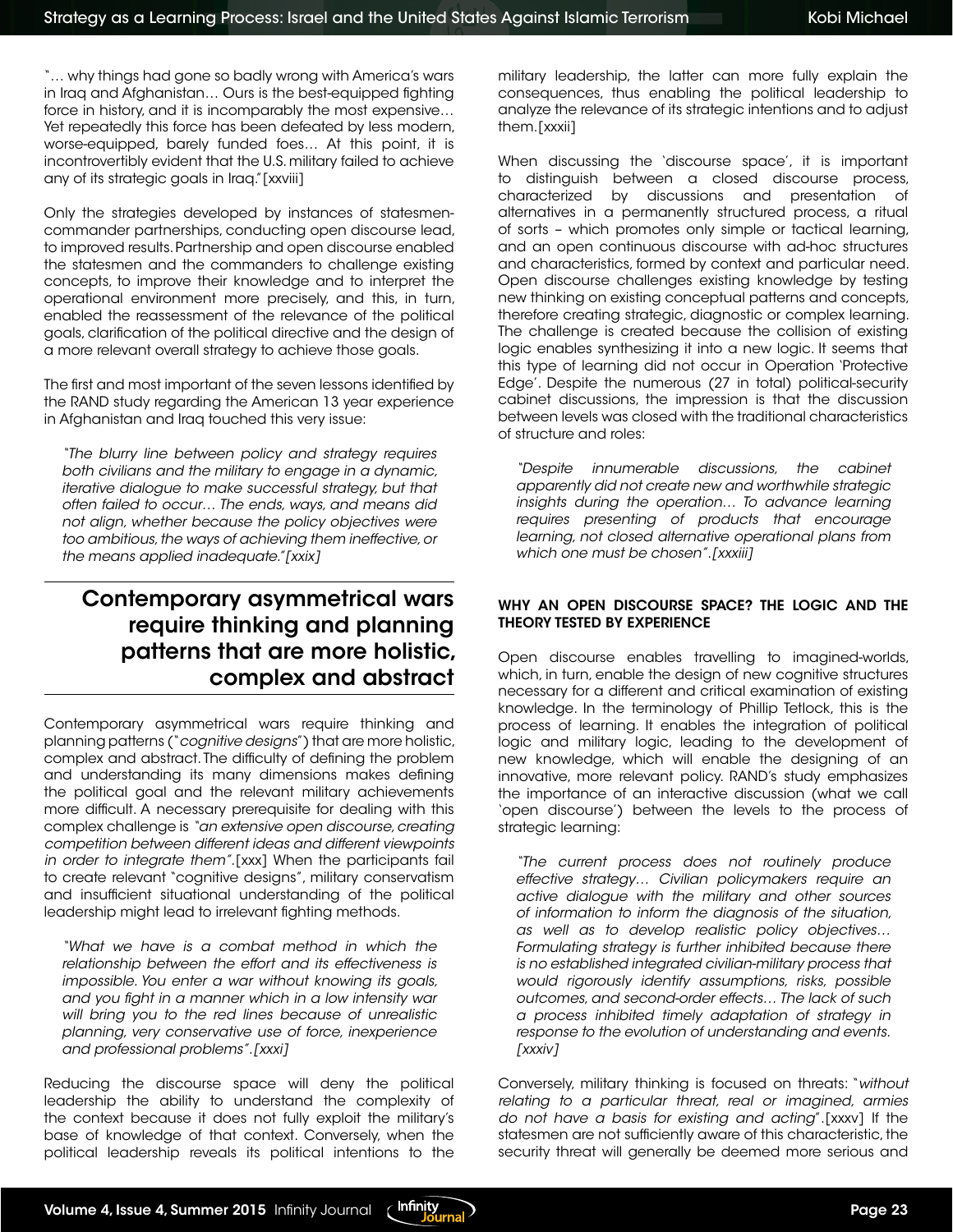"… why things had gone so badly wrong with America's wars in Iraq and Afghanistan… Ours is the best-equipped fighting force in history, and it is incomparably the most expensive… Yet repeatedly this force has been defeated by less modern, worse-equipped, barely funded foes… At this point, it is incontrovertibly evident that the U.S. military failed to achieve any of its strategic goals in Iraq."[xxviii]

Only the strategies developed by instances of statesmencommander partnerships, conducting open discourse lead, to improved results. Partnership and open discourse enabled the statesmen and the commanders to challenge existing concepts, to improve their knowledge and to interpret the operational environment more precisely, and this, in turn, enabled the reassessment of the relevance of the political goals, clarification of the political directive and the design of a more relevant overall strategy to achieve those goals.

The first and most important of the seven lessons identified by the RAND study regarding the American 13 year experience in Afghanistan and Iraq touched this very issue:

*"The blurry line between policy and strategy requires both civilians and the military to engage in a dynamic, iterative dialogue to make successful strategy, but that often failed to occur… The ends, ways, and means did not align, whether because the policy objectives were too ambitious, the ways of achieving them ineffective, or the means applied inadequate."[xxix]*

### Contemporary asymmetrical wars require thinking and planning patterns that are more holistic, complex and abstract

Contemporary asymmetrical wars require thinking and planning patterns ("*cognitive designs*") that are more holistic, complex and abstract. The difficulty of defining the problem and understanding its many dimensions makes defining the political goal and the relevant military achievements more difficult. A necessary prerequisite for dealing with this complex challenge is *"an extensive open discourse, creating competition between different ideas and different viewpoints in order to integrate them"*.[xxx] When the participants fail to create relevant "cognitive designs", military conservatism and insufficient situational understanding of the political leadership might lead to irrelevant fighting methods.

*"What we have is a combat method in which the relationship between the effort and its effectiveness is impossible. You enter a war without knowing its goals, and you fight in a manner which in a low intensity war will bring you to the red lines because of unrealistic planning, very conservative use of force, inexperience and professional problems".[xxxi]*

Reducing the discourse space will deny the political leadership the ability to understand the complexity of the context because it does not fully exploit the military's base of knowledge of that context. Conversely, when the political leadership reveals its political intentions to the

military leadership, the latter can more fully explain the consequences, thus enabling the political leadership to analyze the relevance of its strategic intentions and to adjust them.[xxxii]

When discussing the 'discourse space', it is important to distinguish between a closed discourse process, characterized by discussions and presentation of alternatives in a permanently structured process, a ritual of sorts – which promotes only simple or tactical learning, and an open continuous discourse with ad-hoc structures and characteristics, formed by context and particular need. Open discourse challenges existing knowledge by testing new thinking on existing conceptual patterns and concepts, therefore creating strategic, diagnostic or complex learning. The challenge is created because the collision of existing logic enables synthesizing it into a new logic. It seems that this type of learning did not occur in Operation 'Protective Edge'. Despite the numerous (27 in total) political-security cabinet discussions, the impression is that the discussion between levels was closed with the traditional characteristics of structure and roles:

*"Despite innumerable discussions, the cabinet apparently did not create new and worthwhile strategic insights during the operation… To advance learning requires presenting of products that encourage learning, not closed alternative operational plans from which one must be chosen".[xxxiii]*

### WHY AN OPEN DISCOURSE SPACE? THE LOGIC AND THE THEORY TESTED BY EXPERIENCE

Open discourse enables travelling to imagined-worlds, which, in turn, enable the design of new cognitive structures necessary for a different and critical examination of existing knowledge. In the terminology of Phillip Tetlock, this is the process of learning. It enables the integration of political logic and military logic, leading to the development of new knowledge, which will enable the designing of an innovative, more relevant policy. RAND's study emphasizes the importance of an interactive discussion (what we call 'open discourse') between the levels to the process of strategic learning:

*"The current process does not routinely produce effective strategy… Civilian policymakers require an active dialogue with the military and other sources of information to inform the diagnosis of the situation, as well as to develop realistic policy objectives… Formulating strategy is further inhibited because there is no established integrated civilian-military process that would rigorously identify assumptions, risks, possible outcomes, and second-order effects… The lack of such a process inhibited timely adaptation of strategy in response to the evolution of understanding and events. [xxxiv]*

Conversely, military thinking is focused on threats: "*without relating to a particular threat, real or imagined, armies do not have a basis for existing and acting*".[xxxv] If the statesmen are not sufficiently aware of this characteristic, the security threat will generally be deemed more serious and

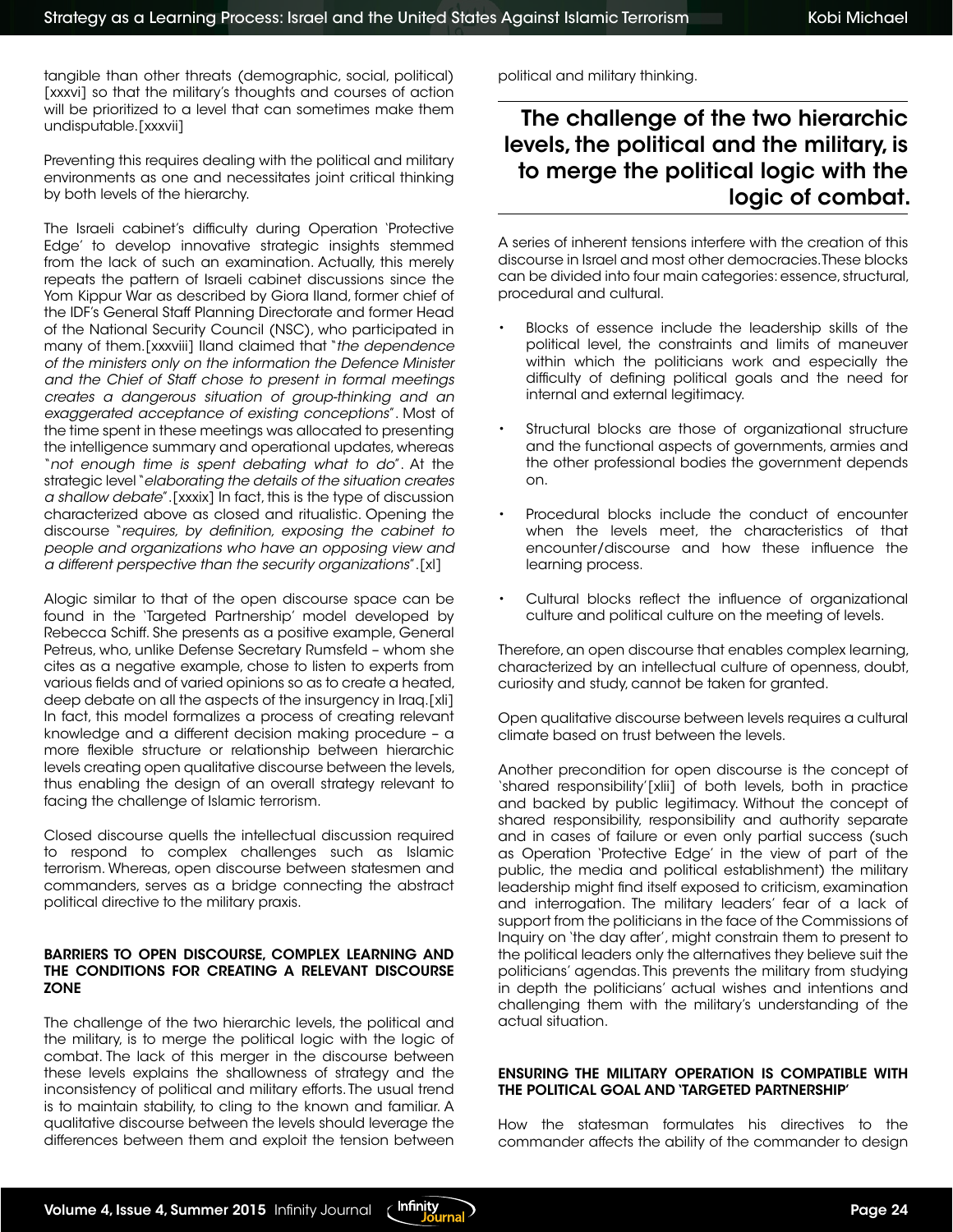tangible than other threats (demographic, social, political) [xxxvi] so that the military's thoughts and courses of action will be prioritized to a level that can sometimes make them undisputable.[xxxvii]

Preventing this requires dealing with the political and military environments as one and necessitates joint critical thinking by both levels of the hierarchy.

The Israeli cabinet's difficulty during Operation 'Protective Edge' to develop innovative strategic insights stemmed from the lack of such an examination. Actually, this merely repeats the pattern of Israeli cabinet discussions since the Yom Kippur War as described by Giora Iland, former chief of the IDF's General Staff Planning Directorate and former Head of the National Security Council (NSC), who participated in many of them.[xxxviii] Iland claimed that "*the dependence of the ministers only on the information the Defence Minister and the Chief of Staff chose to present in formal meetings creates a dangerous situation of group-thinking and an exaggerated acceptance of existing conceptions*". Most of the time spent in these meetings was allocated to presenting the intelligence summary and operational updates, whereas "*not enough time is spent debating what to do*". At the strategic level "*elaborating the details of the situation creates a shallow debate*".[xxxix] In fact, this is the type of discussion characterized above as closed and ritualistic. Opening the discourse "*requires, by definition, exposing the cabinet to people and organizations who have an opposing view and a different perspective than the security organizations*".[xl]

Alogic similar to that of the open discourse space can be found in the 'Targeted Partnership' model developed by Rebecca Schiff. She presents as a positive example, General Petreus, who, unlike Defense Secretary Rumsfeld – whom she cites as a negative example, chose to listen to experts from various fields and of varied opinions so as to create a heated, deep debate on all the aspects of the insurgency in Iraq.[xli] In fact, this model formalizes a process of creating relevant knowledge and a different decision making procedure – a more flexible structure or relationship between hierarchic levels creating open qualitative discourse between the levels, thus enabling the design of an overall strategy relevant to facing the challenge of Islamic terrorism.

Closed discourse quells the intellectual discussion required to respond to complex challenges such as Islamic terrorism. Whereas, open discourse between statesmen and commanders, serves as a bridge connecting the abstract political directive to the military praxis.

#### BARRIERS TO OPEN DISCOURSE, COMPLEX LEARNING AND THE CONDITIONS FOR CREATING A RELEVANT DISCOURSE **ZONE**

The challenge of the two hierarchic levels, the political and the military, is to merge the political logic with the logic of combat. The lack of this merger in the discourse between these levels explains the shallowness of strategy and the inconsistency of political and military efforts. The usual trend is to maintain stability, to cling to the known and familiar. A qualitative discourse between the levels should leverage the differences between them and exploit the tension between

political and military thinking.

### The challenge of the two hierarchic levels, the political and the military, is to merge the political logic with the logic of combat.

A series of inherent tensions interfere with the creation of this discourse in Israel and most other democracies. These blocks can be divided into four main categories: essence, structural, procedural and cultural.

- Blocks of essence include the leadership skills of the political level, the constraints and limits of maneuver within which the politicians work and especially the difficulty of defining political goals and the need for internal and external legitimacy.
- Structural blocks are those of organizational structure and the functional aspects of governments, armies and the other professional bodies the government depends on.
- Procedural blocks include the conduct of encounter when the levels meet, the characteristics of that encounter/discourse and how these influence the learning process.
- Cultural blocks reflect the influence of organizational culture and political culture on the meeting of levels.

Therefore, an open discourse that enables complex learning, characterized by an intellectual culture of openness, doubt, curiosity and study, cannot be taken for granted.

Open qualitative discourse between levels requires a cultural climate based on trust between the levels.

Another precondition for open discourse is the concept of 'shared responsibility'[xlii] of both levels, both in practice and backed by public legitimacy. Without the concept of shared responsibility, responsibility and authority separate and in cases of failure or even only partial success (such as Operation 'Protective Edge' in the view of part of the public, the media and political establishment) the military leadership might find itself exposed to criticism, examination and interrogation. The military leaders' fear of a lack of support from the politicians in the face of the Commissions of Inquiry on 'the day after', might constrain them to present to the political leaders only the alternatives they believe suit the politicians' agendas. This prevents the military from studying in depth the politicians' actual wishes and intentions and challenging them with the military's understanding of the actual situation.

#### ENSURING THE MILITARY OPERATION IS COMPATIBLE WITH THE POLITICAL GOAL AND 'TARGETED PARTNERSHIP'

How the statesman formulates his directives to the commander affects the ability of the commander to design

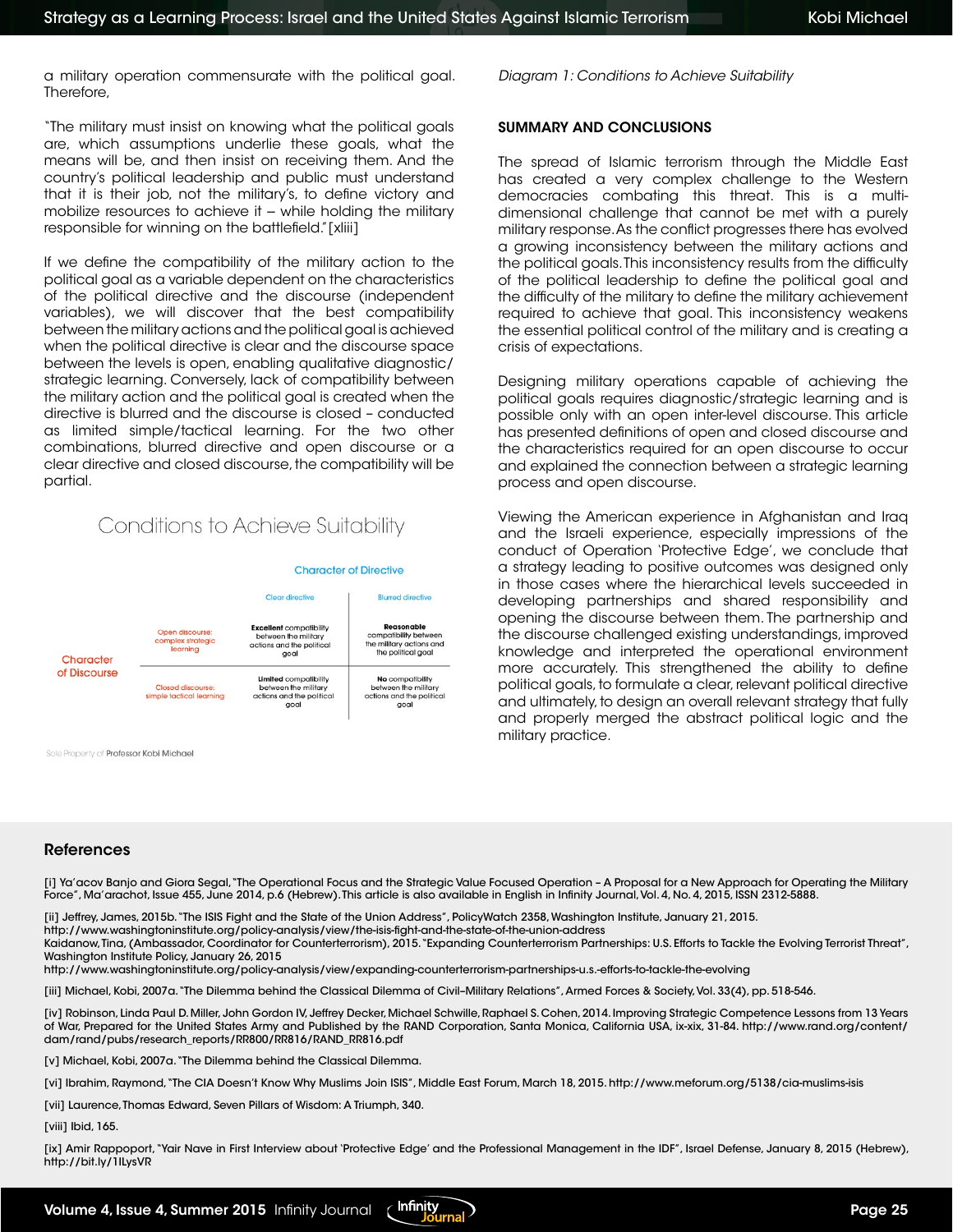a military operation commensurate with the political goal. Therefore,

"The military must insist on knowing what the political goals are, which assumptions underlie these goals, what the means will be, and then insist on receiving them. And the country's political leadership and public must understand that it is their job, not the military's, to define victory and mobilize resources to achieve it -- while holding the military responsible for winning on the battlefield."[xliii]

If we define the compatibility of the military action to the political goal as a variable dependent on the characteristics of the political directive and the discourse (independent variables), we will discover that the best compatibility between the military actions and the political goal is achieved when the political directive is clear and the discourse space between the levels is open, enabling qualitative diagnostic/ strategic learning. Conversely, lack of compatibility between the military action and the political goal is created when the directive is blurred and the discourse is closed – conducted as limited simple/tactical learning. For the two other combinations, blurred directive and open discourse or a clear directive and closed discourse, the compatibility will be partial.

### Conditions to Achieve Suitability



Sole Property of Professor Kobi Michael

*Diagram 1: Conditions to Achieve Suitability*

### SUMMARY AND CONCLUSIONS

The spread of Islamic terrorism through the Middle East has created a very complex challenge to the Western democracies combating this threat. This is a multidimensional challenge that cannot be met with a purely military response. As the conflict progresses there has evolved a growing inconsistency between the military actions and the political goals. This inconsistency results from the difficulty of the political leadership to define the political goal and the difficulty of the military to define the military achievement required to achieve that goal. This inconsistency weakens the essential political control of the military and is creating a crisis of expectations.

Designing military operations capable of achieving the political goals requires diagnostic/strategic learning and is possible only with an open inter-level discourse. This article has presented definitions of open and closed discourse and the characteristics required for an open discourse to occur and explained the connection between a strategic learning process and open discourse.

Viewing the American experience in Afghanistan and Iraq and the Israeli experience, especially impressions of the conduct of Operation 'Protective Edge', we conclude that a strategy leading to positive outcomes was designed only in those cases where the hierarchical levels succeeded in developing partnerships and shared responsibility and opening the discourse between them. The partnership and the discourse challenged existing understandings, improved knowledge and interpreted the operational environment more accurately. This strengthened the ability to define political goals, to formulate a clear, relevant political directive and ultimately, to design an overall relevant strategy that fully and properly merged the abstract political logic and the military practice.

#### References

[i] Ya'acov Banjo and Giora Segal, "The Operational Focus and the Strategic Value Focused Operation – A Proposal for a New Approach for Operating the Military Force", Ma'arachot, Issue 455, June 2014, p.6 (Hebrew). This article is also available in English in Infinity Journal, Vol. 4, No. 4, 2015, ISSN 2312-5888.

[ii] Jeffrey, James, 2015b. "The ISIS Fight and the State of the Union Address", PolicyWatch 2358, Washington Institute, January 21, 2015.

http://www.washingtoninstitute.org/policy-analysis/view/the-isis-fight-and-the-state-of-the-union-address

Kaidanow, Tina, (Ambassador, Coordinator for Counterterrorism), 2015. "Expanding Counterterrorism Partnerships: U.S. Efforts to Tackle the Evolving Terrorist Threat", Washington Institute Policy, January 26, 2015

http://www.washingtoninstitute.org/policy-analysis/view/expanding-counterterrorism-partnerships-u.s.-efforts-to-tackle-the-evolving

[iii] Michael, Kobi, 2007a. "The Dilemma behind the Classical Dilemma of Civil–Military Relations", Armed Forces & Society, Vol. 33(4), pp. 518-546.

[iv] Robinson, Linda Paul D. Miller, John Gordon IV, Jeffrey Decker, Michael Schwille, Raphael S. Cohen, 2014. Improving Strategic Competence Lessons from 13 Years of War, Prepared for the United States Army and Published by the RAND Corporation, Santa Monica, California USA, ix-xix, 31-84. http://www.rand.org/content/ dam/rand/pubs/research\_reports/RR800/RR816/RAND\_RR816.pdf

[v] Michael, Kobi, 2007a. "The Dilemma behind the Classical Dilemma.

[vi] Ibrahim, Raymond, "The CIA Doesn't Know Why Muslims Join ISIS", Middle East Forum, March 18, 2015. http://www.meforum.org/5138/cia-muslims-isis

[vii] Laurence, Thomas Edward, Seven Pillars of Wisdom: A Triumph, 340.

[viii] Ibid, 165.

[ix] Amir Rappoport, "Yair Nave in First Interview about 'Protective Edge' and the Professional Management in the IDF", Israel Defense, January 8, 2015 (Hebrew), http://bit.ly/1ILysVR